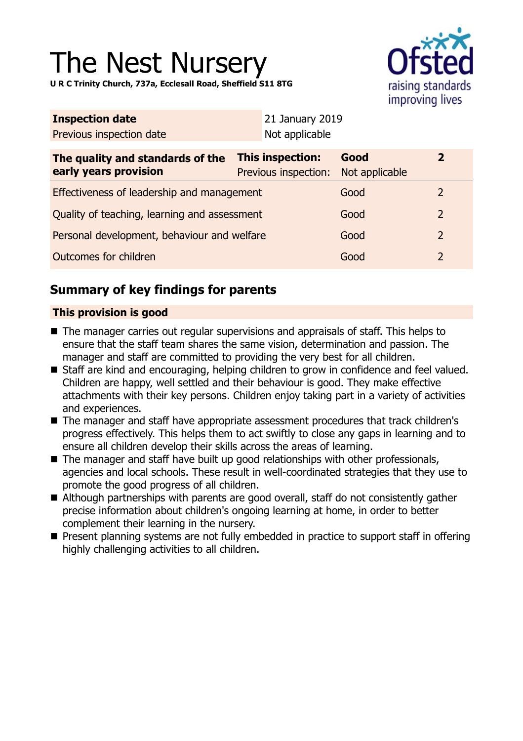# The Nest Nursery

raising standards improving lives

**U R C Trinity Church, 737a, Ecclesall Road, Sheffield S11 8TG**

| <b>Inspection date</b>                                    | 21 January 2019                          |                        |                |
|-----------------------------------------------------------|------------------------------------------|------------------------|----------------|
| Previous inspection date                                  | Not applicable                           |                        |                |
| The quality and standards of the<br>early years provision | This inspection:<br>Previous inspection: | Good<br>Not applicable | $\mathbf{2}$   |
| Effectiveness of leadership and management                |                                          | Good                   | 2              |
| Quality of teaching, learning and assessment              |                                          | Good                   | $\overline{2}$ |
| Personal development, behaviour and welfare               |                                          | Good                   | $\overline{2}$ |
| Outcomes for children                                     |                                          | Good                   | $\overline{2}$ |

# **Summary of key findings for parents**

## **This provision is good**

- $\blacksquare$  The manager carries out regular supervisions and appraisals of staff. This helps to ensure that the staff team shares the same vision, determination and passion. The manager and staff are committed to providing the very best for all children.
- Staff are kind and encouraging, helping children to grow in confidence and feel valued. Children are happy, well settled and their behaviour is good. They make effective attachments with their key persons. Children enjoy taking part in a variety of activities and experiences.
- The manager and staff have appropriate assessment procedures that track children's progress effectively. This helps them to act swiftly to close any gaps in learning and to ensure all children develop their skills across the areas of learning.
- The manager and staff have built up good relationships with other professionals, agencies and local schools. These result in well-coordinated strategies that they use to promote the good progress of all children.
- Although partnerships with parents are good overall, staff do not consistently gather precise information about children's ongoing learning at home, in order to better complement their learning in the nursery.
- Present planning systems are not fully embedded in practice to support staff in offering highly challenging activities to all children.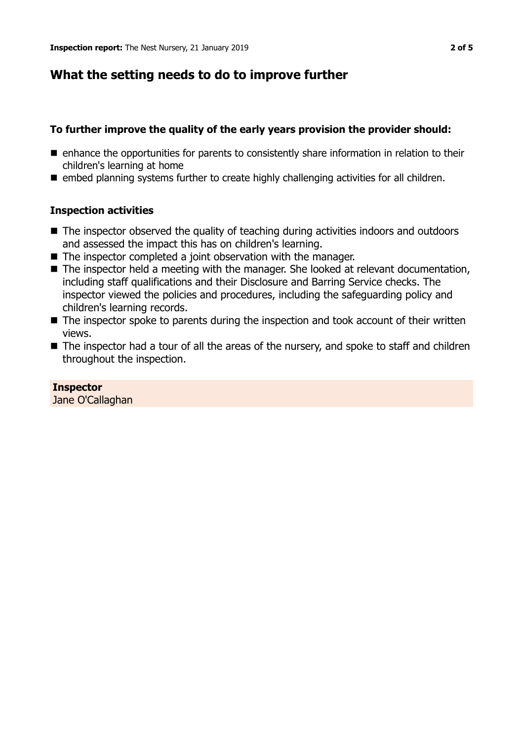## **What the setting needs to do to improve further**

### **To further improve the quality of the early years provision the provider should:**

- $\blacksquare$  enhance the opportunities for parents to consistently share information in relation to their children's learning at home
- embed planning systems further to create highly challenging activities for all children.

## **Inspection activities**

- The inspector observed the quality of teaching during activities indoors and outdoors and assessed the impact this has on children's learning.
- $\blacksquare$  The inspector completed a joint observation with the manager.
- $\blacksquare$  The inspector held a meeting with the manager. She looked at relevant documentation, including staff qualifications and their Disclosure and Barring Service checks. The inspector viewed the policies and procedures, including the safeguarding policy and children's learning records.
- $\blacksquare$  The inspector spoke to parents during the inspection and took account of their written views.
- $\blacksquare$  The inspector had a tour of all the areas of the nursery, and spoke to staff and children throughout the inspection.

**Inspector** Jane O'Callaghan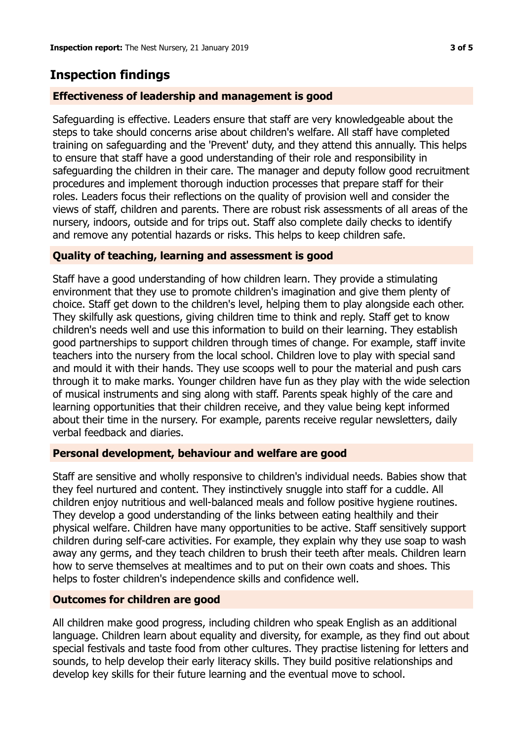# **Inspection findings**

#### **Effectiveness of leadership and management is good**

Safeguarding is effective. Leaders ensure that staff are very knowledgeable about the steps to take should concerns arise about children's welfare. All staff have completed training on safeguarding and the 'Prevent' duty, and they attend this annually. This helps to ensure that staff have a good understanding of their role and responsibility in safeguarding the children in their care. The manager and deputy follow good recruitment procedures and implement thorough induction processes that prepare staff for their roles. Leaders focus their reflections on the quality of provision well and consider the views of staff, children and parents. There are robust risk assessments of all areas of the nursery, indoors, outside and for trips out. Staff also complete daily checks to identify and remove any potential hazards or risks. This helps to keep children safe.

#### **Quality of teaching, learning and assessment is good**

Staff have a good understanding of how children learn. They provide a stimulating environment that they use to promote children's imagination and give them plenty of choice. Staff get down to the children's level, helping them to play alongside each other. They skilfully ask questions, giving children time to think and reply. Staff get to know children's needs well and use this information to build on their learning. They establish good partnerships to support children through times of change. For example, staff invite teachers into the nursery from the local school. Children love to play with special sand and mould it with their hands. They use scoops well to pour the material and push cars through it to make marks. Younger children have fun as they play with the wide selection of musical instruments and sing along with staff. Parents speak highly of the care and learning opportunities that their children receive, and they value being kept informed about their time in the nursery. For example, parents receive regular newsletters, daily verbal feedback and diaries.

#### **Personal development, behaviour and welfare are good**

Staff are sensitive and wholly responsive to children's individual needs. Babies show that they feel nurtured and content. They instinctively snuggle into staff for a cuddle. All children enjoy nutritious and well-balanced meals and follow positive hygiene routines. They develop a good understanding of the links between eating healthily and their physical welfare. Children have many opportunities to be active. Staff sensitively support children during self-care activities. For example, they explain why they use soap to wash away any germs, and they teach children to brush their teeth after meals. Children learn how to serve themselves at mealtimes and to put on their own coats and shoes. This helps to foster children's independence skills and confidence well.

#### **Outcomes for children are good**

All children make good progress, including children who speak English as an additional language. Children learn about equality and diversity, for example, as they find out about special festivals and taste food from other cultures. They practise listening for letters and sounds, to help develop their early literacy skills. They build positive relationships and develop key skills for their future learning and the eventual move to school.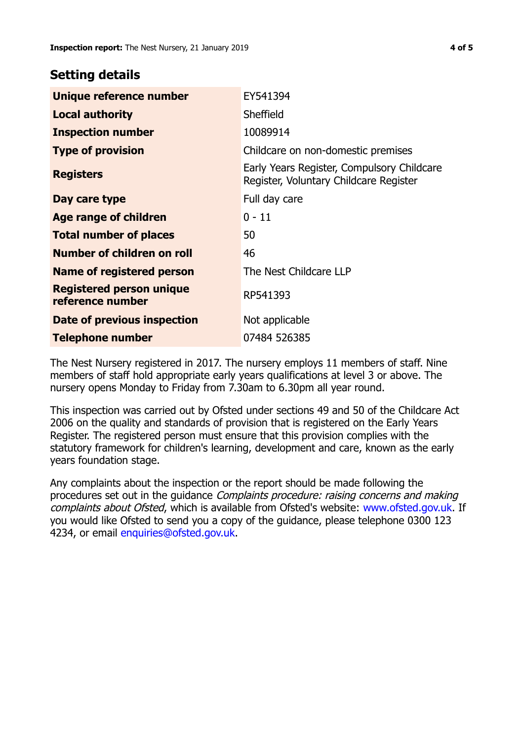## **Setting details**

| Unique reference number                             | EY541394                                                                             |
|-----------------------------------------------------|--------------------------------------------------------------------------------------|
| <b>Local authority</b>                              | Sheffield                                                                            |
| <b>Inspection number</b>                            | 10089914                                                                             |
| <b>Type of provision</b>                            | Childcare on non-domestic premises                                                   |
| <b>Registers</b>                                    | Early Years Register, Compulsory Childcare<br>Register, Voluntary Childcare Register |
| Day care type                                       | Full day care                                                                        |
| <b>Age range of children</b>                        | $0 - 11$                                                                             |
| <b>Total number of places</b>                       | 50                                                                                   |
| Number of children on roll                          | 46                                                                                   |
| Name of registered person                           | The Nest Childcare LLP                                                               |
| <b>Registered person unique</b><br>reference number | RP541393                                                                             |
| Date of previous inspection                         | Not applicable                                                                       |
| <b>Telephone number</b>                             | 07484 526385                                                                         |

The Nest Nursery registered in 2017. The nursery employs 11 members of staff. Nine members of staff hold appropriate early years qualifications at level 3 or above. The nursery opens Monday to Friday from 7.30am to 6.30pm all year round.

This inspection was carried out by Ofsted under sections 49 and 50 of the Childcare Act 2006 on the quality and standards of provision that is registered on the Early Years Register. The registered person must ensure that this provision complies with the statutory framework for children's learning, development and care, known as the early years foundation stage.

Any complaints about the inspection or the report should be made following the procedures set out in the guidance Complaints procedure: raising concerns and making complaints about Ofsted, which is available from Ofsted's website: www.ofsted.gov.uk. If you would like Ofsted to send you a copy of the guidance, please telephone 0300 123 4234, or email [enquiries@ofsted.gov.uk.](mailto:enquiries@ofsted.gov.uk)